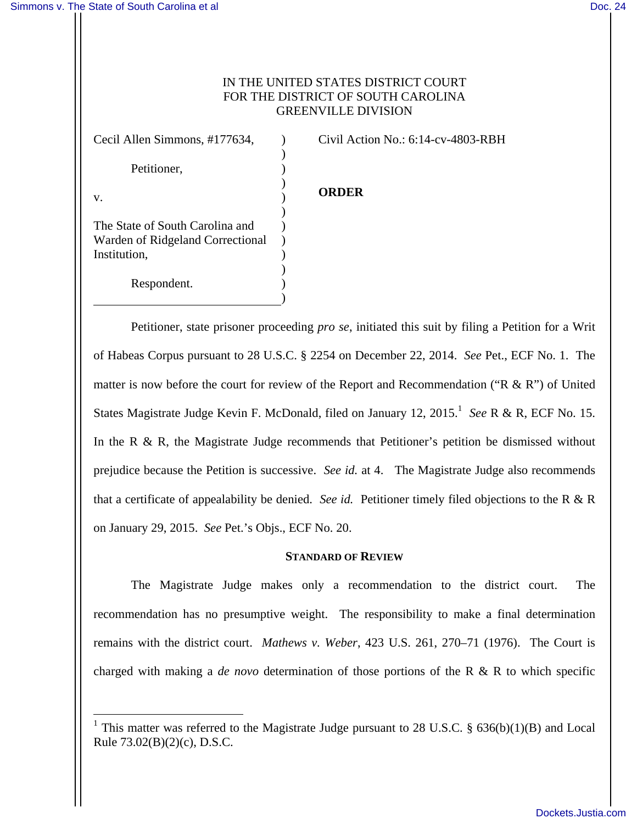v.

 $\overline{a}$ 

Institution,

# IN THE UNITED STATES DISTRICT COURT FOR THE DISTRICT OF SOUTH CAROLINA GREENVILLE DIVISION

Cecil Allen Simmons, #177634,

Petitioner,

The State of South Carolina and Warden of Ridgeland Correctional

Respondent.

Civil Action No.: 6:14-cv-4803-RBH

## **ORDER**

 $\lambda$  $\lambda$ ) ) ) ) ) ) ) ) ) )

Petitioner, state prisoner proceeding *pro se*, initiated this suit by filing a Petition for a Writ of Habeas Corpus pursuant to 28 U.S.C. § 2254 on December 22, 2014. *See* Pet., ECF No. 1. The matter is now before the court for review of the Report and Recommendation ("R & R") of United States Magistrate Judge Kevin F. McDonald, filed on January 12, 2015.<sup>1</sup> See R & R, ECF No. 15. In the R  $\&$  R, the Magistrate Judge recommends that Petitioner's petition be dismissed without prejudice because the Petition is successive. *See id.* at 4. The Magistrate Judge also recommends that a certificate of appealability be denied. *See id.* Petitioner timely filed objections to the R & R on January 29, 2015. *See* Pet.'s Objs., ECF No. 20.

### **STANDARD OF REVIEW**

The Magistrate Judge makes only a recommendation to the district court. The recommendation has no presumptive weight. The responsibility to make a final determination remains with the district court. *Mathews v. Weber*, 423 U.S. 261, 270–71 (1976). The Court is charged with making a *de novo* determination of those portions of the R & R to which specific

<sup>&</sup>lt;sup>1</sup> This matter was referred to the Magistrate Judge pursuant to 28 U.S.C. § 636(b)(1)(B) and Local Rule 73.02(B)(2)(c), D.S.C.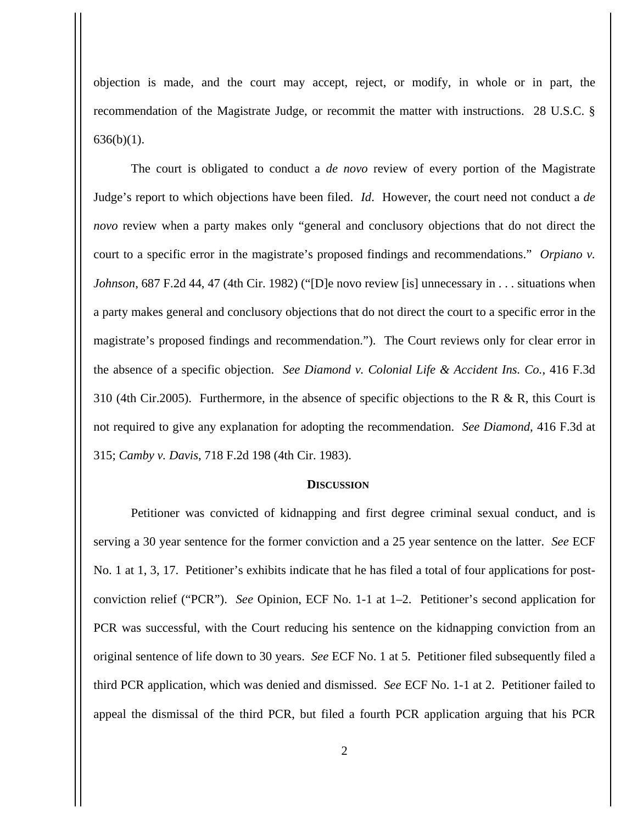objection is made, and the court may accept, reject, or modify, in whole or in part, the recommendation of the Magistrate Judge, or recommit the matter with instructions. 28 U.S.C. §  $636(b)(1)$ .

The court is obligated to conduct a *de novo* review of every portion of the Magistrate Judge's report to which objections have been filed. *Id*. However, the court need not conduct a *de novo* review when a party makes only "general and conclusory objections that do not direct the court to a specific error in the magistrate's proposed findings and recommendations." *Orpiano v. Johnson*, 687 F.2d 44, 47 (4th Cir. 1982) ("[D]e novo review [is] unnecessary in . . . situations when a party makes general and conclusory objections that do not direct the court to a specific error in the magistrate's proposed findings and recommendation."). The Court reviews only for clear error in the absence of a specific objection. *See Diamond v. Colonial Life & Accident Ins. Co.*, 416 F.3d 310 (4th Cir.2005). Furthermore, in the absence of specific objections to the R & R, this Court is not required to give any explanation for adopting the recommendation. *See Diamond*, 416 F.3d at 315; *Camby v. Davis*, 718 F.2d 198 (4th Cir. 1983).

### **DISCUSSION**

Petitioner was convicted of kidnapping and first degree criminal sexual conduct, and is serving a 30 year sentence for the former conviction and a 25 year sentence on the latter. *See* ECF No. 1 at 1, 3, 17. Petitioner's exhibits indicate that he has filed a total of four applications for postconviction relief ("PCR"). *See* Opinion, ECF No. 1-1 at 1–2. Petitioner's second application for PCR was successful, with the Court reducing his sentence on the kidnapping conviction from an original sentence of life down to 30 years. *See* ECF No. 1 at 5. Petitioner filed subsequently filed a third PCR application, which was denied and dismissed. *See* ECF No. 1-1 at 2. Petitioner failed to appeal the dismissal of the third PCR, but filed a fourth PCR application arguing that his PCR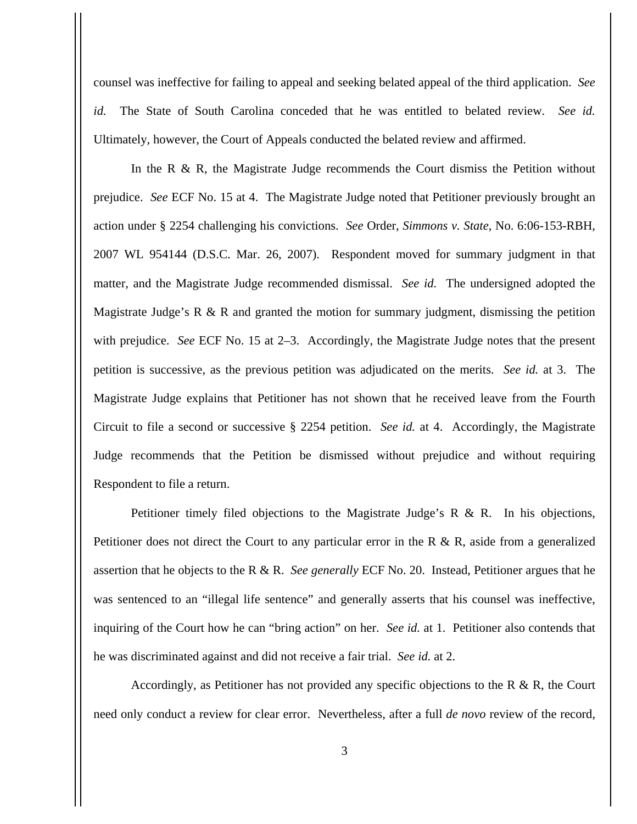counsel was ineffective for failing to appeal and seeking belated appeal of the third application. *See id.* The State of South Carolina conceded that he was entitled to belated review. *See id.* Ultimately, however, the Court of Appeals conducted the belated review and affirmed.

In the R & R, the Magistrate Judge recommends the Court dismiss the Petition without prejudice. *See* ECF No. 15 at 4. The Magistrate Judge noted that Petitioner previously brought an action under § 2254 challenging his convictions. *See* Order, *Simmons v. State*, No. 6:06-153-RBH, 2007 WL 954144 (D.S.C. Mar. 26, 2007). Respondent moved for summary judgment in that matter, and the Magistrate Judge recommended dismissal. *See id.* The undersigned adopted the Magistrate Judge's R & R and granted the motion for summary judgment, dismissing the petition with prejudice. *See* ECF No. 15 at 2–3. Accordingly, the Magistrate Judge notes that the present petition is successive, as the previous petition was adjudicated on the merits. *See id.* at 3. The Magistrate Judge explains that Petitioner has not shown that he received leave from the Fourth Circuit to file a second or successive § 2254 petition. *See id.* at 4. Accordingly, the Magistrate Judge recommends that the Petition be dismissed without prejudice and without requiring Respondent to file a return.

Petitioner timely filed objections to the Magistrate Judge's  $R \& R$ . In his objections, Petitioner does not direct the Court to any particular error in the R  $\&$  R, aside from a generalized assertion that he objects to the R & R. *See generally* ECF No. 20. Instead, Petitioner argues that he was sentenced to an "illegal life sentence" and generally asserts that his counsel was ineffective, inquiring of the Court how he can "bring action" on her. *See id.* at 1. Petitioner also contends that he was discriminated against and did not receive a fair trial. *See id.* at 2.

Accordingly, as Petitioner has not provided any specific objections to the R  $\&$  R, the Court need only conduct a review for clear error. Nevertheless, after a full *de novo* review of the record,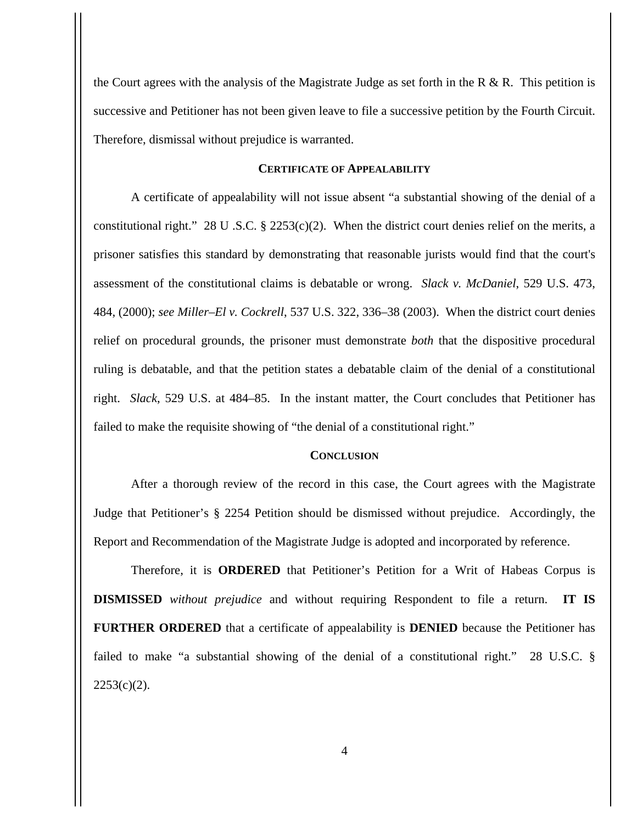the Court agrees with the analysis of the Magistrate Judge as set forth in the R  $\&$  R. This petition is successive and Petitioner has not been given leave to file a successive petition by the Fourth Circuit. Therefore, dismissal without prejudice is warranted.

### **CERTIFICATE OF APPEALABILITY**

 A certificate of appealability will not issue absent "a substantial showing of the denial of a constitutional right." 28 U .S.C.  $\S$  2253(c)(2). When the district court denies relief on the merits, a prisoner satisfies this standard by demonstrating that reasonable jurists would find that the court's assessment of the constitutional claims is debatable or wrong. *Slack v. McDaniel*, 529 U.S. 473, 484, (2000); *see Miller–El v. Cockrell*, 537 U.S. 322, 336–38 (2003). When the district court denies relief on procedural grounds, the prisoner must demonstrate *both* that the dispositive procedural ruling is debatable, and that the petition states a debatable claim of the denial of a constitutional right. *Slack*, 529 U.S. at 484–85. In the instant matter, the Court concludes that Petitioner has failed to make the requisite showing of "the denial of a constitutional right."

#### **CONCLUSION**

After a thorough review of the record in this case, the Court agrees with the Magistrate Judge that Petitioner's § 2254 Petition should be dismissed without prejudice. Accordingly, the Report and Recommendation of the Magistrate Judge is adopted and incorporated by reference.

Therefore, it is **ORDERED** that Petitioner's Petition for a Writ of Habeas Corpus is **DISMISSED** *without prejudice* and without requiring Respondent to file a return. **IT IS FURTHER ORDERED** that a certificate of appealability is **DENIED** because the Petitioner has failed to make "a substantial showing of the denial of a constitutional right." 28 U.S.C. §  $2253(c)(2)$ .